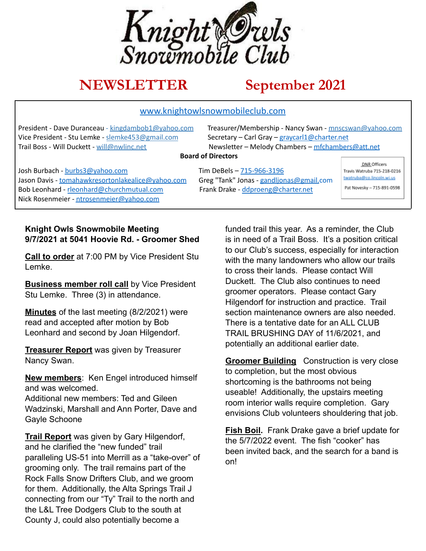

# **NEWSLETTER September 2021**

#### www.knightowlsnowmobileclub.com

President - Dave Duranceau - kingdambob1@yahoo.com Treasurer/Membership - Nancy Swan - mnscswan@yahoo.com Vice President - Stu Lemke - slemke453@gmail.com Secretary - Carl Gray - graycarl1@charter.net

Trail Boss - Will Duckett - will@nwlinc.net Newsletter – Melody Chambers – mfchambers@att.net

#### **Board of Directors**

Josh Burbach - burbs3@yahoo.com Tim DeBels – 715-966-3196 Jason Davis - tomahawkresortonlakealice@yahoo.com Greg "Tank" Jonas - gandljonas@gmail.com Bob Leonhard - rleonhard@churchmutual.com Frank Drake - ddproeng@charter.net Nick Rosenmeier - ntrosenmeier@yahoo.com

DNR Officers Travis Watruba 715-218-0216 twatruba@co.lincoln.wi.us Pat Novesky - 715-891-0598

#### **Knight Owls Snowmobile Meeting 9/7/2021 at 5041 Hoovie Rd. - Groomer Shed**

**Call to order** at 7:00 PM by Vice President Stu Lemke.

**Business member roll call** by Vice President Stu Lemke. Three (3) in attendance.

**Minutes** of the last meeting (8/2/2021) were read and accepted after motion by Bob Leonhard and second by Joan Hilgendorf.

**Treasurer Report** was given by Treasurer Nancy Swan.

**New members**: Ken Engel introduced himself and was welcomed. Additional new members: Ted and Gileen Wadzinski, Marshall and Ann Porter, Dave and Gayle Schoone

**Trail Report** was given by Gary Hilgendorf, and he clarified the "new funded" trail paralleling US-51 into Merrill as a "take-over" of grooming only. The trail remains part of the Rock Falls Snow Drifters Club, and we groom for them. Additionally, the Alta Springs Trail J connecting from our "Ty" Trail to the north and the L&L Tree Dodgers Club to the south at County J, could also potentially become a

funded trail this year. As a reminder, the Club is in need of a Trail Boss. It's a position critical to our Club's success, especially for interaction with the many landowners who allow our trails to cross their lands. Please contact Will Duckett. The Club also continues to need groomer operators. Please contact Gary Hilgendorf for instruction and practice. Trail section maintenance owners are also needed. There is a tentative date for an ALL CLUB TRAIL BRUSHING DAY of 11/6/2021, and potentially an additional earlier date.

**Groomer Building** Construction is very close to completion, but the most obvious shortcoming is the bathrooms not being useable! Additionally, the upstairs meeting room interior walls require completion. Gary envisions Club volunteers shouldering that job.

**Fish Boil.** Frank Drake gave a brief update for the 5/7/2022 event. The fish "cooker" has been invited back, and the search for a band is on!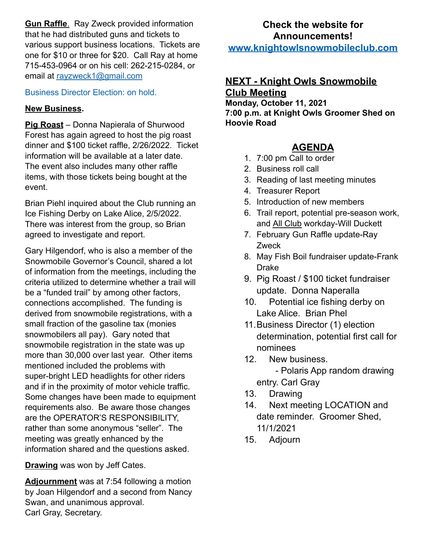**Gun Raffle**. Ray Zweck provided information that he had distributed guns and tickets to various support business locations. Tickets are one for \$10 or three for \$20. Call Ray at home 715-453-0964 or on his cell: 262-215-0284, or email at [rayzweck1@gmail.com](mailto:rayzweck1@gmail.com)

### Business Director Election: on hold.

## **New Business.**

**Pig Roast** – Donna Napierala of Shurwood Forest has again agreed to host the pig roast dinner and \$100 ticket raffle, 2/26/2022. Ticket information will be available at a later date. The event also includes many other raffle items, with those tickets being bought at the event.

Brian Piehl inquired about the Club running an Ice Fishing Derby on Lake Alice, 2/5/2022. There was interest from the group, so Brian agreed to investigate and report.

Gary Hilgendorf, who is also a member of the Snowmobile Governor's Council, shared a lot of information from the meetings, including the criteria utilized to determine whether a trail will be a "funded trail" by among other factors, connections accomplished. The funding is derived from snowmobile registrations, with a small fraction of the gasoline tax (monies snowmobilers all pay). Gary noted that snowmobile registration in the state was up more than 30,000 over last year. Other items mentioned included the problems with super-bright LED headlights for other riders and if in the proximity of motor vehicle traffic. Some changes have been made to equipment requirements also. Be aware those changes are the OPERATOR'S RESPONSIBILITY, rather than some anonymous "seller". The meeting was greatly enhanced by the information shared and the questions asked.

**Drawing** was won by Jeff Cates.

**Adjournment** was at 7:54 following a motion by Joan Hilgendorf and a second from Nancy Swan, and unanimous approval. Carl Gray, Secretary.

## **Check the website for Announcements! www.knightowlsnowmobileclub.com**

## **NEXT - Knight Owls Snowmobile Club Meeting**

**Monday, October 11, 2021 7:00 p.m. at Knight Owls Groomer Shed on Hoovie Road**

## **AGENDA**

- 1. 7:00 pm Call to order
- 2. Business roll call
- 3. Reading of last meeting minutes
- 4. Treasurer Report
- 5. Introduction of new members
- 6. Trail report, potential pre-season work, and All Club workday-Will Duckett
- 7. February Gun Raffle update-Ray Zweck
- 8. May Fish Boil fundraiser update-Frank Drake
- 9. Pig Roast / \$100 ticket fundraiser update. Donna Naperalla
- 10. Potential ice fishing derby on Lake Alice. Brian Phel
- 11.Business Director (1) election determination, potential first call for nominees
- 12. New business.
	- Polaris App random drawing entry. Carl Gray
- 13. Drawing
- 14. Next meeting LOCATION and date reminder. Groomer Shed, 11/1/2021
- 15. Adjourn